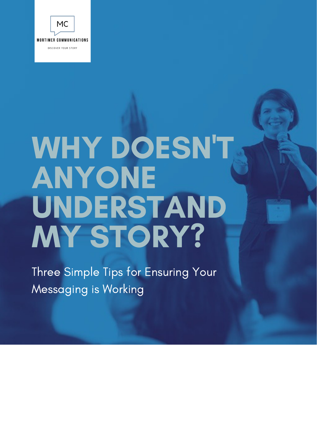

# WHY DOESN'T ANYONE UNDERSTAND MY STORY?

Three Simple Tips for Ensuring Your Messaging is Working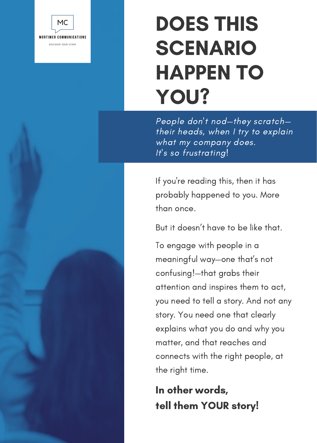

### DOES THIS SCENARIO HAPPEN TO YOU?

People don't nod—they scratch their heads, when I try to explain what my company does. It's so frustrating!

If you're reading this, then it has probably happened to you. More than once.

But it doesn't have to be like that.

To engage with people in a meaningful way—one that's not confusing!—that grabs their attention and inspires them to act, you need to tell a story. And not any story. You need one that clearly explains what you do and why you matter, and that reaches and connects with the right people, at the right time.

In other words, tell them YOUR story!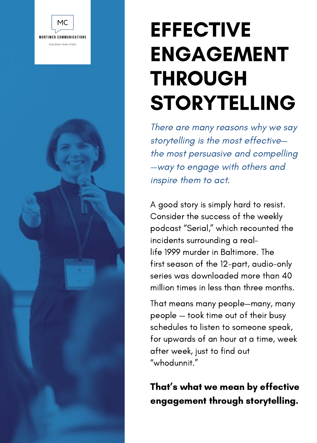

## **EFFECTIVE** ENGAGEMENT THROUGH STORYTELLING

There are many reasons why we say storytelling is the most effective the most persuasive and compelling —way to engage with others and inspire them to act.

A good story is simply hard to resist. Consider the success of the weekly podcast "Serial," which recounted the incidents surrounding a reallife 1999 murder in Baltimore. The first season of the 12-part, audio-only series was downloaded more than 40 million times in less than three months.

That means many people—many, many people — took time out of their busy schedules to listen to someone speak, for upwards of an hour at a time, week after week, just to find out "whodunnit."

#### That's what we mean by effective engagement through storytelling.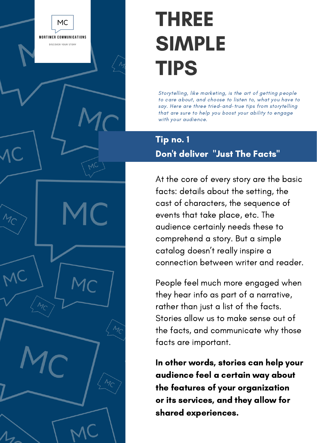### THREE SIMPLE TIPS

**MC MORTIMER COMMUNICATIONS** DISCOVER YOUR STORY

> Storytelling, like marketing, is the art of getting people to care about, and choose to listen to, what you have to say. Here are three tried-and-true tips from storytelling that are sure to help you boost your ability to engage with your audience.

#### Tip no. 1

#### Don't deliver "Just The Facts"

At the core of every story are the basic facts: details about the setting, the cast of characters, the sequence of events that take place, etc. The audience certainly needs these to comprehend a story. But a simple catalog doesn't really inspire a connection between writer and reader.

People feel much more engaged when they hear info as part of a narrative, rather than just a list of the facts. Stories allow us to make sense out of the facts, and communicate why those facts are important.

In other words, stories can help your audience feel a certain way about the features of your organization or its services, and they allow for shared experiences.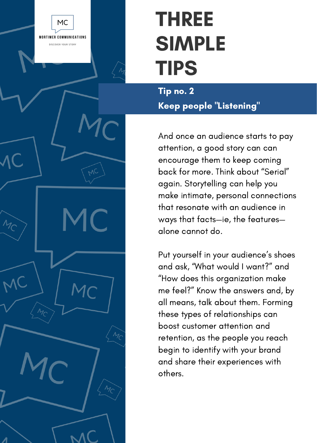#### MC **MORTIMER COMMUNICATIONS** DISCOVER YOUR STORY

### THREE SIMPLE TIPS

Tip no. 2 Keep people "Listening"

And once an audience starts to pay attention, a good story can can encourage them to keep coming back for more. Think about "Serial" again. Storytelling can help you make intimate, personal connections that resonate with an audience in ways that facts—ie, the features alone cannot do.

Put yourself in your audience's shoes and ask, "What would I want?" and "How does this organization make me feel?" Know the answers and, by all means, talk about them. Forming these types of relationships can boost customer attention and retention, as the people you reach begin to identify with your brand and share their experiences with others.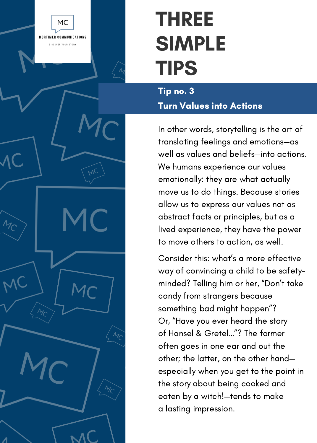### MC **MORTIMER COMMUNICATIONS** DISCOVER YOUR STORY

### THREE SIMPLE TIPS

#### Tip no. 3 Turn Values into Actions

In other words, storytelling is the art of translating feelings and emotions—as well as values and beliefs—into actions. We humans experience our values emotionally: they are what actually move us to do things. Because stories allow us to express our values not as abstract facts or principles, but as a lived experience, they have the power to move others to action, as well.

Consider this: what's a more effective way of convincing a child to be safetyminded? Telling him or her, "Don't take candy from strangers because something bad might happen"? Or, "Have you ever heard the story of Hansel & Gretel…"? The former often goes in one ear and out the other; the latter, on the other hand especially when you get to the point in the story about being cooked and eaten by a witch!—tends to make a lasting impression.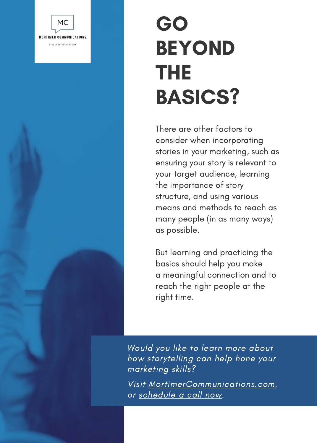

### GO BEYOND THE BASICS?

There are other factors to consider when incorporating stories in your marketing, such as ensuring your story is relevant to your target audience, learning the importance of story structure, and using various means and methods to reach as many people (in as many ways) as possible.

But learning and practicing the basics should help you make a meaningful connection and to reach the right people at the right time.

Would you like to learn more about how storytelling can help hone your marketing skills?

Visit [MortimerCommunications.com,](https://mortimercommunications.com/) or [schedule](https://mortimercommunications.com/schedule/) a call now.